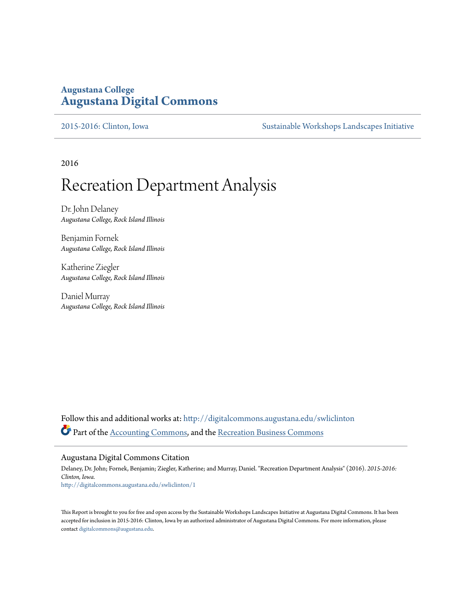## **Augustana College [Augustana Digital Commons](http://digitalcommons.augustana.edu?utm_source=digitalcommons.augustana.edu%2Fswliclinton%2F1&utm_medium=PDF&utm_campaign=PDFCoverPages)**

[2015-2016: Clinton, Iowa](http://digitalcommons.augustana.edu/swliclinton?utm_source=digitalcommons.augustana.edu%2Fswliclinton%2F1&utm_medium=PDF&utm_campaign=PDFCoverPages) [Sustainable Workshops Landscapes Initiative](http://digitalcommons.augustana.edu/swli?utm_source=digitalcommons.augustana.edu%2Fswliclinton%2F1&utm_medium=PDF&utm_campaign=PDFCoverPages)

2016

## Recreation Department Analysis

Dr. John Delaney *Augustana College, Rock Island Illinois*

Benjamin Fornek *Augustana College, Rock Island Illinois*

Katherine Ziegler *Augustana College, Rock Island Illinois*

Daniel Murray *Augustana College, Rock Island Illinois*

Follow this and additional works at: [http://digitalcommons.augustana.edu/swliclinton](http://digitalcommons.augustana.edu/swliclinton?utm_source=digitalcommons.augustana.edu%2Fswliclinton%2F1&utm_medium=PDF&utm_campaign=PDFCoverPages) Part of the [Accounting Commons](http://network.bepress.com/hgg/discipline/625?utm_source=digitalcommons.augustana.edu%2Fswliclinton%2F1&utm_medium=PDF&utm_campaign=PDFCoverPages), and the [Recreation Business Commons](http://network.bepress.com/hgg/discipline/1083?utm_source=digitalcommons.augustana.edu%2Fswliclinton%2F1&utm_medium=PDF&utm_campaign=PDFCoverPages)

#### Augustana Digital Commons Citation

Delaney, Dr. John; Fornek, Benjamin; Ziegler, Katherine; and Murray, Daniel. "Recreation Department Analysis" (2016). *2015-2016: Clinton, Iowa.* [http://digitalcommons.augustana.edu/swliclinton/1](http://digitalcommons.augustana.edu/swliclinton/1?utm_source=digitalcommons.augustana.edu%2Fswliclinton%2F1&utm_medium=PDF&utm_campaign=PDFCoverPages)

This Report is brought to you for free and open access by the Sustainable Workshops Landscapes Initiative at Augustana Digital Commons. It has been accepted for inclusion in 2015-2016: Clinton, Iowa by an authorized administrator of Augustana Digital Commons. For more information, please contact [digitalcommons@augustana.edu.](mailto:digitalcommons@augustana.edu)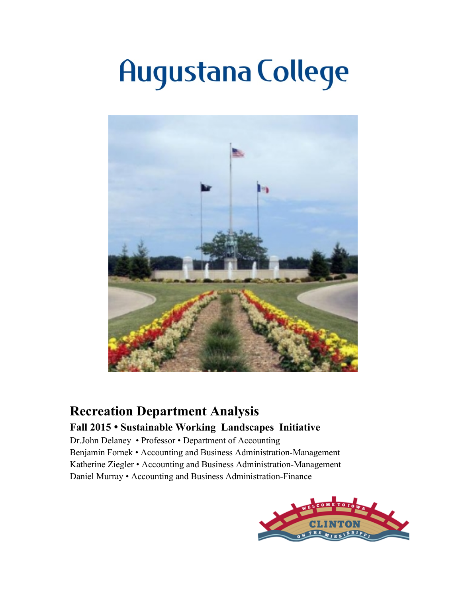# **Augustana College**



## **Recreation Department Analysis**

## **Fall 2015 • Sustainable Working Landscapes Initiative**

Dr.John Delaney • Professor • Department of Accounting Benjamin Fornek • Accounting and Business Administration-Management Katherine Ziegler • Accounting and Business Administration-Management Daniel Murray • Accounting and Business Administration-Finance

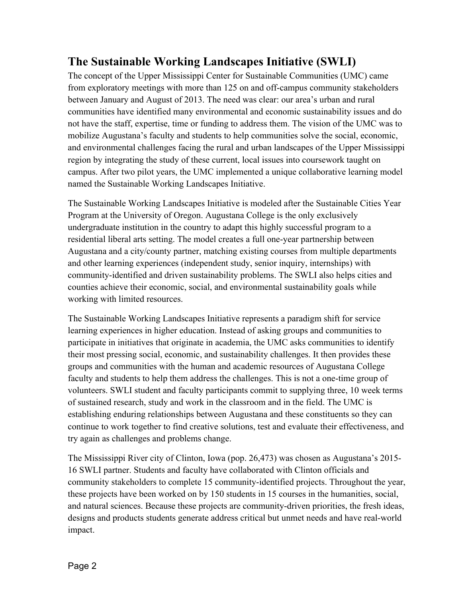## **The Sustainable Working Landscapes Initiative (SWLI)**

The concept of the Upper Mississippi Center for Sustainable Communities (UMC) came from exploratory meetings with more than 125 on and off-campus community stakeholders between January and August of 2013. The need was clear: our area's urban and rural communities have identified many environmental and economic sustainability issues and do not have the staff, expertise, time or funding to address them. The vision of the UMC was to mobilize Augustana's faculty and students to help communities solve the social, economic, and environmental challenges facing the rural and urban landscapes of the Upper Mississippi region by integrating the study of these current, local issues into coursework taught on campus. After two pilot years, the UMC implemented a unique collaborative learning model named the Sustainable Working Landscapes Initiative.

The Sustainable Working Landscapes Initiative is modeled after the Sustainable Cities Year Program at the University of Oregon. Augustana College is the only exclusively undergraduate institution in the country to adapt this highly successful program to a residential liberal arts setting. The model creates a full one-year partnership between Augustana and a city/county partner, matching existing courses from multiple departments and other learning experiences (independent study, senior inquiry, internships) with community-identified and driven sustainability problems. The SWLI also helps cities and counties achieve their economic, social, and environmental sustainability goals while working with limited resources.

The Sustainable Working Landscapes Initiative represents a paradigm shift for service learning experiences in higher education. Instead of asking groups and communities to participate in initiatives that originate in academia, the UMC asks communities to identify their most pressing social, economic, and sustainability challenges. It then provides these groups and communities with the human and academic resources of Augustana College faculty and students to help them address the challenges. This is not a one-time group of volunteers. SWLI student and faculty participants commit to supplying three, 10 week terms of sustained research, study and work in the classroom and in the field. The UMC is establishing enduring relationships between Augustana and these constituents so they can continue to work together to find creative solutions, test and evaluate their effectiveness, and try again as challenges and problems change.

The Mississippi River city of Clinton, Iowa (pop. 26,473) was chosen as Augustana's 2015- 16 SWLI partner. Students and faculty have collaborated with Clinton officials and community stakeholders to complete 15 community-identified projects. Throughout the year, these projects have been worked on by 150 students in 15 courses in the humanities, social, and natural sciences. Because these projects are community-driven priorities, the fresh ideas, designs and products students generate address critical but unmet needs and have real-world impact.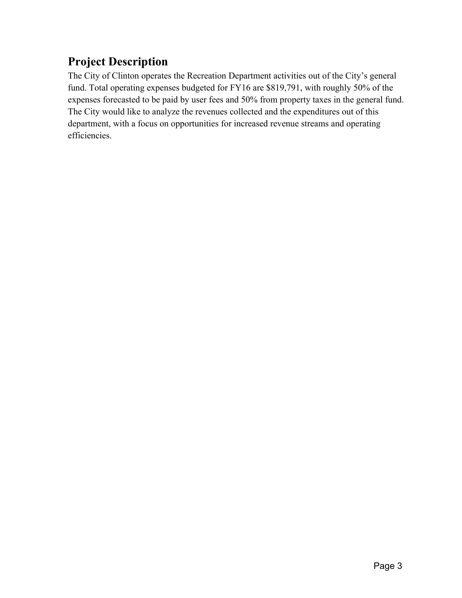## **Project Description**

The City of Clinton operates the Recreation Department activities out of the City's general fund. Total operating expenses budgeted for FY16 are \$819,791, with roughly 50% of the expenses forecasted to be paid by user fees and 50% from property taxes in the general fund. The City would like to analyze the revenues collected and the expenditures out of this department, with a focus on opportunities for increased revenue streams and operating efficiencies.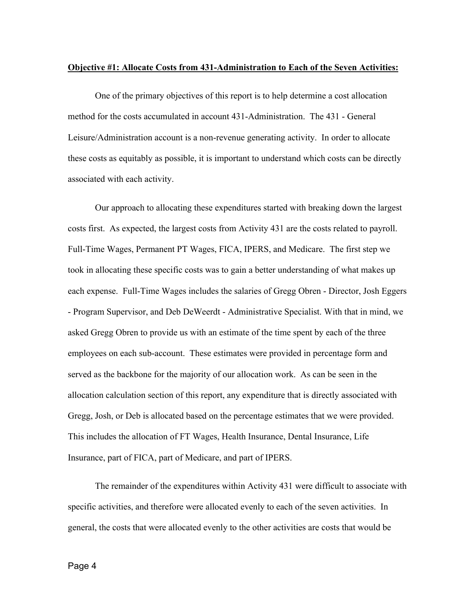#### **Objective #1: Allocate Costs from 431-Administration to Each of the Seven Activities:**

One of the primary objectives of this report is to help determine a cost allocation method for the costs accumulated in account 431-Administration. The 431 - General Leisure/Administration account is a non-revenue generating activity. In order to allocate these costs as equitably as possible, it is important to understand which costs can be directly associated with each activity.

Our approach to allocating these expenditures started with breaking down the largest costs first. As expected, the largest costs from Activity 431 are the costs related to payroll. Full-Time Wages, Permanent PT Wages, FICA, IPERS, and Medicare. The first step we took in allocating these specific costs was to gain a better understanding of what makes up each expense. Full-Time Wages includes the salaries of Gregg Obren - Director, Josh Eggers - Program Supervisor, and Deb DeWeerdt - Administrative Specialist. With that in mind, we asked Gregg Obren to provide us with an estimate of the time spent by each of the three employees on each sub-account. These estimates were provided in percentage form and served as the backbone for the majority of our allocation work. As can be seen in the allocation calculation section of this report, any expenditure that is directly associated with Gregg, Josh, or Deb is allocated based on the percentage estimates that we were provided. This includes the allocation of FT Wages, Health Insurance, Dental Insurance, Life Insurance, part of FICA, part of Medicare, and part of IPERS.

The remainder of the expenditures within Activity 431 were difficult to associate with specific activities, and therefore were allocated evenly to each of the seven activities. In general, the costs that were allocated evenly to the other activities are costs that would be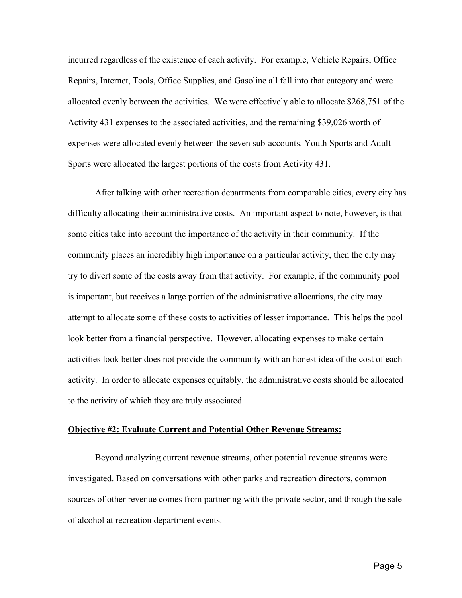incurred regardless of the existence of each activity. For example, Vehicle Repairs, Office Repairs, Internet, Tools, Office Supplies, and Gasoline all fall into that category and were allocated evenly between the activities. We were effectively able to allocate \$268,751 of the Activity 431 expenses to the associated activities, and the remaining \$39,026 worth of expenses were allocated evenly between the seven sub-accounts. Youth Sports and Adult Sports were allocated the largest portions of the costs from Activity 431.

After talking with other recreation departments from comparable cities, every city has difficulty allocating their administrative costs. An important aspect to note, however, is that some cities take into account the importance of the activity in their community. If the community places an incredibly high importance on a particular activity, then the city may try to divert some of the costs away from that activity. For example, if the community pool is important, but receives a large portion of the administrative allocations, the city may attempt to allocate some of these costs to activities of lesser importance. This helps the pool look better from a financial perspective. However, allocating expenses to make certain activities look better does not provide the community with an honest idea of the cost of each activity. In order to allocate expenses equitably, the administrative costs should be allocated to the activity of which they are truly associated.

#### **Objective #2: Evaluate Current and Potential Other Revenue Streams:**

Beyond analyzing current revenue streams, other potential revenue streams were investigated. Based on conversations with other parks and recreation directors, common sources of other revenue comes from partnering with the private sector, and through the sale of alcohol at recreation department events.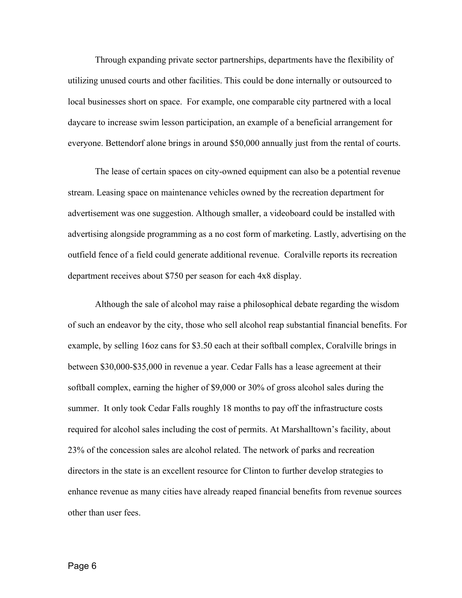Through expanding private sector partnerships, departments have the flexibility of utilizing unused courts and other facilities. This could be done internally or outsourced to local businesses short on space. For example, one comparable city partnered with a local daycare to increase swim lesson participation, an example of a beneficial arrangement for everyone. Bettendorf alone brings in around \$50,000 annually just from the rental of courts.

The lease of certain spaces on city-owned equipment can also be a potential revenue stream. Leasing space on maintenance vehicles owned by the recreation department for advertisement was one suggestion. Although smaller, a videoboard could be installed with advertising alongside programming as a no cost form of marketing. Lastly, advertising on the outfield fence of a field could generate additional revenue. Coralville reports its recreation department receives about \$750 per season for each 4x8 display.

Although the sale of alcohol may raise a philosophical debate regarding the wisdom of such an endeavor by the city, those who sell alcohol reap substantial financial benefits. For example, by selling 16oz cans for \$3.50 each at their softball complex, Coralville brings in between \$30,000-\$35,000 in revenue a year. Cedar Falls has a lease agreement at their softball complex, earning the higher of \$9,000 or 30% of gross alcohol sales during the summer. It only took Cedar Falls roughly 18 months to pay off the infrastructure costs required for alcohol sales including the cost of permits. At Marshalltown's facility, about 23% of the concession sales are alcohol related. The network of parks and recreation directors in the state is an excellent resource for Clinton to further develop strategies to enhance revenue as many cities have already reaped financial benefits from revenue sources other than user fees.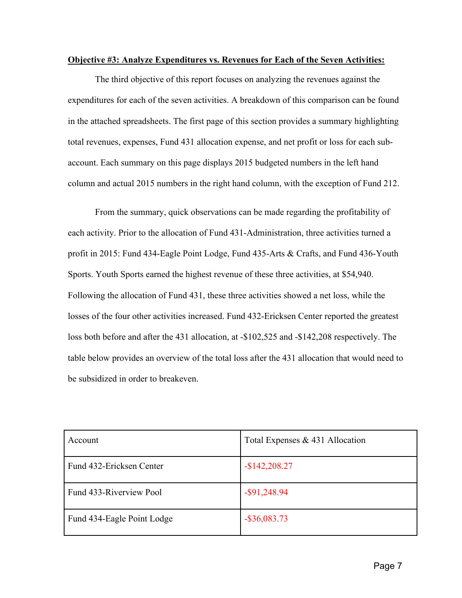### **Objective #3: Analyze Expenditures vs. Revenues for Each of the Seven Activities:**

The third objective of this report focuses on analyzing the revenues against the expenditures for each of the seven activities. A breakdown of this comparison can be found in the attached spreadsheets. The first page of this section provides a summary highlighting total revenues, expenses, Fund 431 allocation expense, and net profit or loss for each subaccount. Each summary on this page displays 2015 budgeted numbers in the left hand column and actual 2015 numbers in the right hand column, with the exception of Fund 212.

 From the summary, quick observations can be made regarding the profitability of each activity. Prior to the allocation of Fund 431-Administration, three activities turned a profit in 2015: Fund 434-Eagle Point Lodge, Fund 435-Arts & Crafts, and Fund 436-Youth Sports. Youth Sports earned the highest revenue of these three activities, at \$54,940. Following the allocation of Fund 431, these three activities showed a net loss, while the losses of the four other activities increased. Fund 432-Ericksen Center reported the greatest loss both before and after the 431 allocation, at -\$102,525 and -\$142,208 respectively. The table below provides an overview of the total loss after the 431 allocation that would need to be subsidized in order to breakeven.

| Account                    | Total Expenses & 431 Allocation |  |
|----------------------------|---------------------------------|--|
| Fund 432-Ericksen Center   | $-$142,208.27$                  |  |
| Fund 433-Riverview Pool    | $-$ \$91,248.94                 |  |
| Fund 434-Eagle Point Lodge | $-$ \$36,083.73                 |  |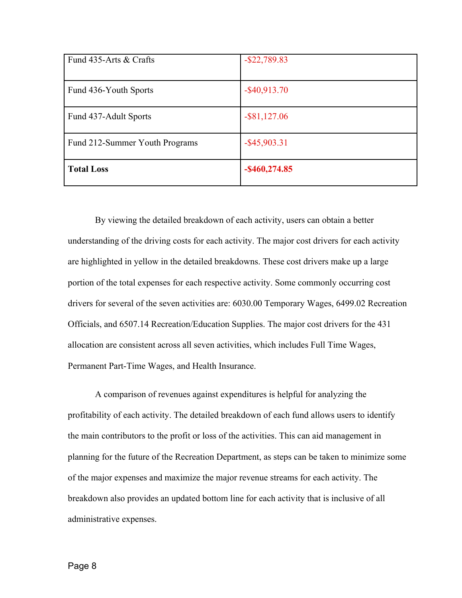| Fund 435-Arts & Crafts         | $-$ \$22,789.83  |
|--------------------------------|------------------|
| Fund 436-Youth Sports          | $-$ \$40,913.70  |
| Fund 437-Adult Sports          | $-$ \$81,127.06  |
| Fund 212-Summer Youth Programs | $-$ \$45,903.31  |
| <b>Total Loss</b>              | $-$ \$460,274.85 |

By viewing the detailed breakdown of each activity, users can obtain a better understanding of the driving costs for each activity. The major cost drivers for each activity are highlighted in yellow in the detailed breakdowns. These cost drivers make up a large portion of the total expenses for each respective activity. Some commonly occurring cost drivers for several of the seven activities are: 6030.00 Temporary Wages, 6499.02 Recreation Officials, and 6507.14 Recreation/Education Supplies. The major cost drivers for the 431 allocation are consistent across all seven activities, which includes Full Time Wages, Permanent Part-Time Wages, and Health Insurance.

A comparison of revenues against expenditures is helpful for analyzing the profitability of each activity. The detailed breakdown of each fund allows users to identify the main contributors to the profit or loss of the activities. This can aid management in planning for the future of the Recreation Department, as steps can be taken to minimize some of the major expenses and maximize the major revenue streams for each activity. The breakdown also provides an updated bottom line for each activity that is inclusive of all administrative expenses.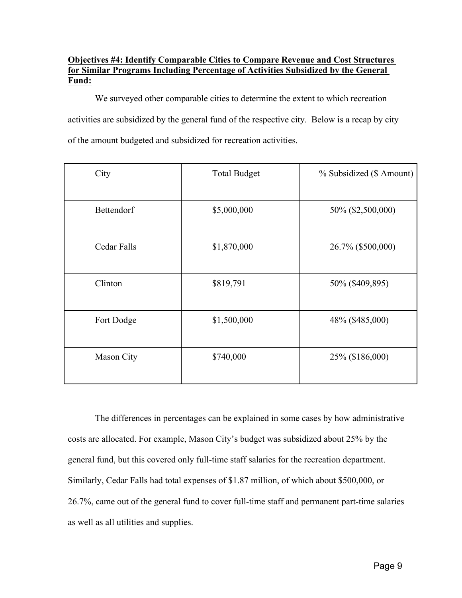## **Objectives #4: Identify Comparable Cities to Compare Revenue and Cost Structures for Similar Programs Including Percentage of Activities Subsidized by the General Fund:**

We surveyed other comparable cities to determine the extent to which recreation activities are subsidized by the general fund of the respective city. Below is a recap by city of the amount budgeted and subsidized for recreation activities.

| City        | <b>Total Budget</b> | % Subsidized (\$ Amount) |  |
|-------------|---------------------|--------------------------|--|
| Bettendorf  | \$5,000,000         | 50% (\$2,500,000)        |  |
| Cedar Falls | \$1,870,000         | 26.7% (\$500,000)        |  |
| Clinton     | \$819,791           | 50% (\$409,895)          |  |
| Fort Dodge  | \$1,500,000         | 48% (\$485,000)          |  |
| Mason City  | \$740,000           | 25% (\$186,000)          |  |

The differences in percentages can be explained in some cases by how administrative costs are allocated. For example, Mason City's budget was subsidized about 25% by the general fund, but this covered only full-time staff salaries for the recreation department. Similarly, Cedar Falls had total expenses of \$1.87 million, of which about \$500,000, or 26.7%, came out of the general fund to cover full-time staff and permanent part-time salaries as well as all utilities and supplies.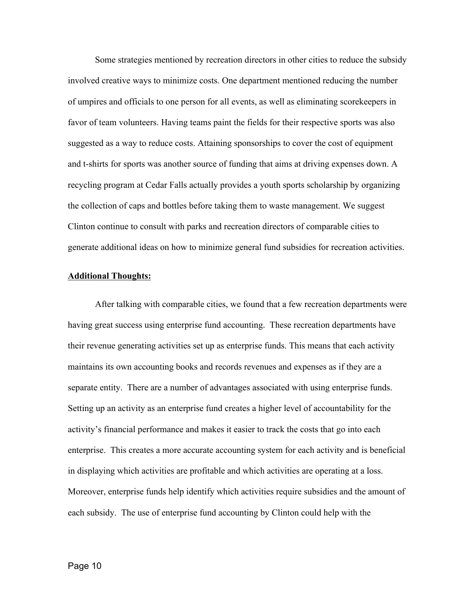Some strategies mentioned by recreation directors in other cities to reduce the subsidy involved creative ways to minimize costs. One department mentioned reducing the number of umpires and officials to one person for all events, as well as eliminating scorekeepers in favor of team volunteers. Having teams paint the fields for their respective sports was also suggested as a way to reduce costs. Attaining sponsorships to cover the cost of equipment and t-shirts for sports was another source of funding that aims at driving expenses down. A recycling program at Cedar Falls actually provides a youth sports scholarship by organizing the collection of caps and bottles before taking them to waste management. We suggest Clinton continue to consult with parks and recreation directors of comparable cities to generate additional ideas on how to minimize general fund subsidies for recreation activities.

#### **Additional Thoughts:**

After talking with comparable cities, we found that a few recreation departments were having great success using enterprise fund accounting. These recreation departments have their revenue generating activities set up as enterprise funds. This means that each activity maintains its own accounting books and records revenues and expenses as if they are a separate entity. There are a number of advantages associated with using enterprise funds. Setting up an activity as an enterprise fund creates a higher level of accountability for the activity's financial performance and makes it easier to track the costs that go into each enterprise. This creates a more accurate accounting system for each activity and is beneficial in displaying which activities are profitable and which activities are operating at a loss. Moreover, enterprise funds help identify which activities require subsidies and the amount of each subsidy. The use of enterprise fund accounting by Clinton could help with the